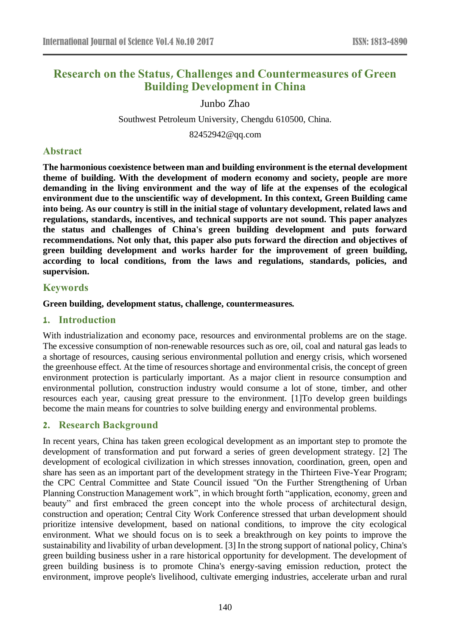# **Research on the Status, Challenges and Countermeasures of Green Building Development in China**

Junbo Zhao

Southwest Petroleum University, Chengdu 610500, China.

82452942@qq.com

## **Abstract**

**The harmonious coexistence between man and building environment is the eternal development theme of building. With the development of modern economy and society, people are more demanding in the living environment and the way of life at the expenses of the ecological environment due to the unscientific way of development. In this context, Green Building came into being. As our country is still in the initial stage of voluntary development, related laws and regulations, standards, incentives, and technical supports are not sound. This paper analyzes the status and challenges of China's green building development and puts forward recommendations. Not only that, this paper also puts forward the direction and objectives of green building development and works harder for the improvement of green building, according to local conditions, from the laws and regulations, standards, policies, and supervision.**

### **Keywords**

#### **Green building, development status, challenge, countermeasures.**

### **1. Introduction**

With industrialization and economy pace, resources and environmental problems are on the stage. The excessive consumption of non-renewable resources such as ore, oil, coal and natural gas leads to a shortage of resources, causing serious environmental pollution and energy crisis, which worsened the greenhouse effect. At the time of resources shortage and environmental crisis, the concept of green environment protection is particularly important. As a major client in resource consumption and environmental pollution, construction industry would consume a lot of stone, timber, and other resources each year, causing great pressure to the environment. [1]To develop green buildings become the main means for countries to solve building energy and environmental problems.

### **2. Research Background**

In recent years, China has taken green ecological development as an important step to promote the development of transformation and put forward a series of green development strategy. [2] The development of ecological civilization in which stresses innovation, coordination, green, open and share has seen as an important part of the development strategy in the Thirteen Five-Year Program; the CPC Central Committee and State Council issued "On the Further Strengthening of Urban Planning Construction Management work", in which brought forth "application, economy, green and beauty" and first embraced the green concept into the whole process of architectural design, construction and operation; Central City Work Conference stressed that urban development should prioritize intensive development, based on national conditions, to improve the city ecological environment. What we should focus on is to seek a breakthrough on key points to improve the sustainability and livability of urban development. [3] In the strong support of national policy, China's green building business usher in a rare historical opportunity for development. The development of green building business is to promote China's energy-saving emission reduction, protect the environment, improve people's livelihood, cultivate emerging industries, accelerate urban and rural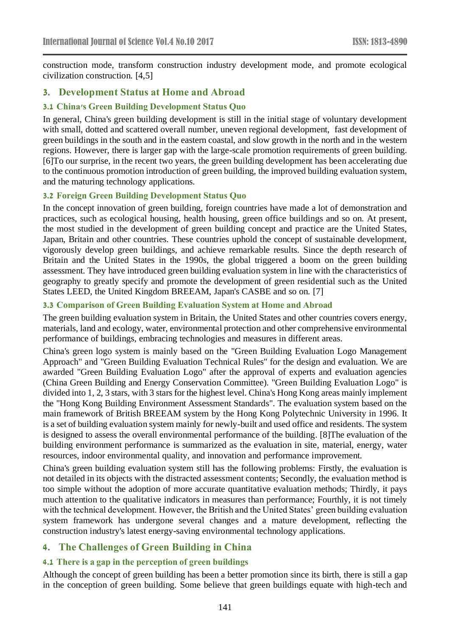construction mode, transform construction industry development mode, and promote ecological civilization construction. [4,5]

### **3. Development Status at Home and Abroad**

#### **3.1 China's Green Building Development Status Quo**

In general, China's green building development is still in the initial stage of voluntary development with small, dotted and scattered overall number, uneven regional development, fast development of green buildings in the south and in the eastern coastal, and slow growth in the north and in the western regions. However, there is larger gap with the large-scale promotion requirements of green building. [6]To our surprise, in the recent two years, the green building development has been accelerating due to the continuous promotion introduction of green building, the improved building evaluation system, and the maturing technology applications.

#### **3.2 Foreign Green Building Development Status Quo**

In the concept innovation of green building, foreign countries have made a lot of demonstration and practices, such as ecological housing, health housing, green office buildings and so on. At present, the most studied in the development of green building concept and practice are the United States, Japan, Britain and other countries. These countries uphold the concept of sustainable development, vigorously develop green buildings, and achieve remarkable results. Since the depth research of Britain and the United States in the 1990s, the global triggered a boom on the green building assessment. They have introduced green building evaluation system in line with the characteristics of geography to greatly specify and promote the development of green residential such as the United States LEED, the United Kingdom BREEAM, Japan's CASBE and so on. [7]

#### **3.3 Comparison of Green Building Evaluation System at Home and Abroad**

The green building evaluation system in Britain, the United States and other countries covers energy, materials, land and ecology, water, environmental protection and other comprehensive environmental performance of buildings, embracing technologies and measures in different areas.

China's green logo system is mainly based on the "Green Building Evaluation Logo Management Approach" and "Green Building Evaluation Technical Rules" for the design and evaluation. We are awarded "Green Building Evaluation Logo" after the approval of experts and evaluation agencies (China Green Building and Energy Conservation Committee). "Green Building Evaluation Logo" is divided into 1, 2, 3 stars, with 3 stars for the highest level. China's Hong Kong areas mainly implement the "Hong Kong Building Environment Assessment Standards". The evaluation system based on the main framework of British BREEAM system by the Hong Kong Polytechnic University in 1996. It is a set of building evaluation system mainly for newly-built and used office and residents. The system is designed to assess the overall environmental performance of the building. [8]The evaluation of the building environment performance is summarized as the evaluation in site, material, energy, water resources, indoor environmental quality, and innovation and performance improvement.

China's green building evaluation system still has the following problems: Firstly, the evaluation is not detailed in its objects with the distracted assessment contents; Secondly, the evaluation method is too simple without the adoption of more accurate quantitative evaluation methods; Thirdly, it pays much attention to the qualitative indicators in measures than performance; Fourthly, it is not timely with the technical development. However, the British and the United States' green building evaluation system framework has undergone several changes and a mature development, reflecting the construction industry's latest energy-saving environmental technology applications.

### **4. The Challenges of Green Building in China**

#### **4.1 There is a gap in the perception of green buildings**

Although the concept of green building has been a better promotion since its birth, there is still a gap in the conception of green building. Some believe that green buildings equate with high-tech and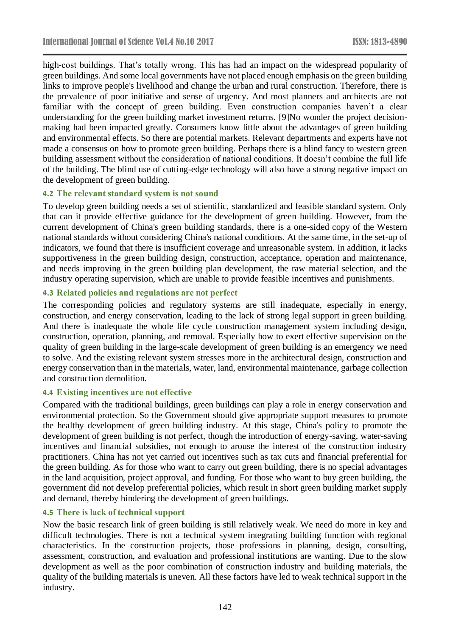high-cost buildings. That's totally wrong. This has had an impact on the widespread popularity of green buildings. And some local governments have not placed enough emphasis on the green building links to improve people's livelihood and change the urban and rural construction. Therefore, there is the prevalence of poor initiative and sense of urgency. And most planners and architects are not familiar with the concept of green building. Even construction companies haven't a clear understanding for the green building market investment returns. [9]No wonder the project decisionmaking had been impacted greatly. Consumers know little about the advantages of green building and environmental effects. So there are potential markets. Relevant departments and experts have not made a consensus on how to promote green building. Perhaps there is a blind fancy to western green building assessment without the consideration of national conditions. It doesn't combine the full life of the building. The blind use of cutting-edge technology will also have a strong negative impact on the development of green building.

#### **4.2 The relevant standard system is not sound**

To develop green building needs a set of scientific, standardized and feasible standard system. Only that can it provide effective guidance for the development of green building. However, from the current development of China's green building standards, there is a one-sided copy of the Western national standards without considering China's national conditions. At the same time, in the set-up of indicators, we found that there is insufficient coverage and unreasonable system. In addition, it lacks supportiveness in the green building design, construction, acceptance, operation and maintenance, and needs improving in the green building plan development, the raw material selection, and the industry operating supervision, which are unable to provide feasible incentives and punishments.

#### **4.3 Related policies and regulations are not perfect**

The corresponding policies and regulatory systems are still inadequate, especially in energy, construction, and energy conservation, leading to the lack of strong legal support in green building. And there is inadequate the whole life cycle construction management system including design, construction, operation, planning, and removal. Especially how to exert effective supervision on the quality of green building in the large-scale development of green building is an emergency we need to solve. And the existing relevant system stresses more in the architectural design, construction and energy conservation than in the materials, water, land, environmental maintenance, garbage collection and construction demolition.

#### **4.4 Existing incentives are not effective**

Compared with the traditional buildings, green buildings can play a role in energy conservation and environmental protection. So the Government should give appropriate support measures to promote the healthy development of green building industry. At this stage, China's policy to promote the development of green building is not perfect, though the introduction of energy-saving, water-saving incentives and financial subsidies, not enough to arouse the interest of the construction industry practitioners. China has not yet carried out incentives such as tax cuts and financial preferential for the green building. As for those who want to carry out green building, there is no special advantages in the land acquisition, project approval, and funding. For those who want to buy green building, the government did not develop preferential policies, which result in short green building market supply and demand, thereby hindering the development of green buildings.

#### **4.5 There is lack of technical support**

Now the basic research link of green building is still relatively weak. We need do more in key and difficult technologies. There is not a technical system integrating building function with regional characteristics. In the construction projects, those professions in planning, design, consulting, assessment, construction, and evaluation and professional institutions are wanting. Due to the slow development as well as the poor combination of construction industry and building materials, the quality of the building materials is uneven. All these factors have led to weak technical support in the industry.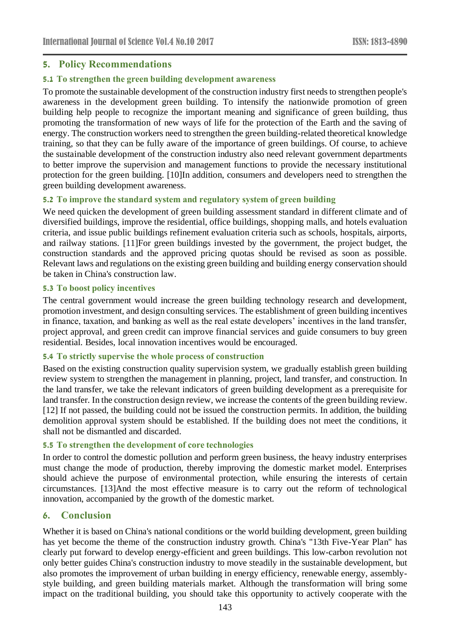### **5. Policy Recommendations**

### **5.1 To strengthen the green building development awareness**

To promote the sustainable development of the construction industry first needs to strengthen people's awareness in the development green building. To intensify the nationwide promotion of green building help people to recognize the important meaning and significance of green building, thus promoting the transformation of new ways of life for the protection of the Earth and the saving of energy. The construction workers need to strengthen the green building-related theoretical knowledge training, so that they can be fully aware of the importance of green buildings. Of course, to achieve the sustainable development of the construction industry also need relevant government departments to better improve the supervision and management functions to provide the necessary institutional protection for the green building. [10]In addition, consumers and developers need to strengthen the green building development awareness.

### **5.2 To improve the standard system and regulatory system of green building**

We need quicken the development of green building assessment standard in different climate and of diversified buildings, improve the residential, office buildings, shopping malls, and hotels evaluation criteria, and issue public buildings refinement evaluation criteria such as schools, hospitals, airports, and railway stations. [11]For green buildings invested by the government, the project budget, the construction standards and the approved pricing quotas should be revised as soon as possible. Relevant laws and regulations on the existing green building and building energy conservation should be taken in China's construction law.

#### **5.3 To boost policy incentives**

The central government would increase the green building technology research and development, promotion investment, and design consulting services. The establishment of green building incentives in finance, taxation, and banking as well as the real estate developers' incentives in the land transfer, project approval, and green credit can improve financial services and guide consumers to buy green residential. Besides, local innovation incentives would be encouraged.

#### **5.4 To strictly supervise the whole process of construction**

Based on the existing construction quality supervision system, we gradually establish green building review system to strengthen the management in planning, project, land transfer, and construction. In the land transfer, we take the relevant indicators of green building development as a prerequisite for land transfer. In the construction design review, we increase the contents of the green building review. [12] If not passed, the building could not be issued the construction permits. In addition, the building demolition approval system should be established. If the building does not meet the conditions, it shall not be dismantled and discarded.

### **5.5 To strengthen the development of core technologies**

In order to control the domestic pollution and perform green business, the heavy industry enterprises must change the mode of production, thereby improving the domestic market model. Enterprises should achieve the purpose of environmental protection, while ensuring the interests of certain circumstances. [13]And the most effective measure is to carry out the reform of technological innovation, accompanied by the growth of the domestic market.

# **6. Conclusion**

Whether it is based on China's national conditions or the world building development, green building has yet become the theme of the construction industry growth. China's "13th Five-Year Plan" has clearly put forward to develop energy-efficient and green buildings. This low-carbon revolution not only better guides China's construction industry to move steadily in the sustainable development, but also promotes the improvement of urban building in energy efficiency, renewable energy, assemblystyle building, and green building materials market. Although the transformation will bring some impact on the traditional building, you should take this opportunity to actively cooperate with the